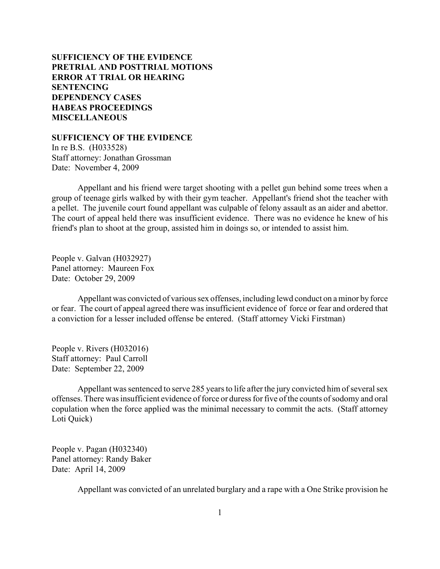# **SUFFICIENCY OF THE EVIDENCE [PRETRIAL AND POSTTRIAL MOTIONS](#page-1-0) [ERROR AT TRIAL OR HEARING](#page-3-0) [SENTENCING](#page-6-0) [DEPENDENCY CASES](#page-21-0) [HABEAS PROCEEDINGS](#page-23-0)  [MISCELLANEOUS](#page-24-0)**

#### **SUFFICIENCY OF THE EVIDENCE**

In re B.S. (H033528) Staff attorney: Jonathan Grossman Date: November 4, 2009

Appellant and his friend were target shooting with a pellet gun behind some trees when a group of teenage girls walked by with their gym teacher. Appellant's friend shot the teacher with a pellet. The juvenile court found appellant was culpable of felony assault as an aider and abettor. The court of appeal held there was insufficient evidence. There was no evidence he knew of his friend's plan to shoot at the group, assisted him in doings so, or intended to assist him.

People v. Galvan (H032927) Panel attorney: Maureen Fox Date: October 29, 2009

Appellant was convicted of various sex offenses, including lewd conduct on a minor by force or fear. The court of appeal agreed there was insufficient evidence of force or fear and ordered that a conviction for a lesser included offense be entered. (Staff attorney Vicki Firstman)

People v. Rivers (H032016) Staff attorney: Paul Carroll Date: September 22, 2009

Appellant was sentenced to serve 285 years to life after the jury convicted him of several sex offenses. There was insufficient evidence of force or duress for five of the counts of sodomy and oral copulation when the force applied was the minimal necessary to commit the acts. (Staff attorney Loti Quick)

People v. Pagan (H032340) Panel attorney: Randy Baker Date: April 14, 2009

Appellant was convicted of an unrelated burglary and a rape with a One Strike provision he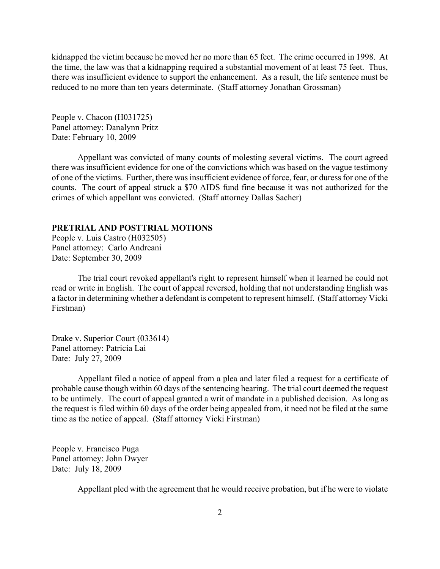<span id="page-1-0"></span>kidnapped the victim because he moved her no more than 65 feet. The crime occurred in 1998. At the time, the law was that a kidnapping required a substantial movement of at least 75 feet. Thus, there was insufficient evidence to support the enhancement. As a result, the life sentence must be reduced to no more than ten years determinate. (Staff attorney Jonathan Grossman)

People v. Chacon (H031725) Panel attorney: Danalynn Pritz Date: February 10, 2009

Appellant was convicted of many counts of molesting several victims. The court agreed there was insufficient evidence for one of the convictions which was based on the vague testimony of one of the victims. Further, there was insufficient evidence of force, fear, or duress for one of the counts. The court of appeal struck a \$70 AIDS fund fine because it was not authorized for the crimes of which appellant was convicted. (Staff attorney Dallas Sacher)

### **PRETRIAL AND POSTTRIAL MOTIONS**

People v. Luis Castro (H032505) Panel attorney: Carlo Andreani Date: September 30, 2009

The trial court revoked appellant's right to represent himself when it learned he could not read or write in English. The court of appeal reversed, holding that not understanding English was a factor in determining whether a defendant is competent to represent himself. (Staff attorney Vicki Firstman)

Drake v. Superior Court (033614) Panel attorney: Patricia Lai Date: July 27, 2009

Appellant filed a notice of appeal from a plea and later filed a request for a certificate of probable cause though within 60 days of the sentencing hearing. The trial court deemed the request to be untimely. The court of appeal granted a writ of mandate in a published decision. As long as the request is filed within 60 days of the order being appealed from, it need not be filed at the same time as the notice of appeal. (Staff attorney Vicki Firstman)

People v. Francisco Puga Panel attorney: John Dwyer Date: July 18, 2009

Appellant pled with the agreement that he would receive probation, but if he were to violate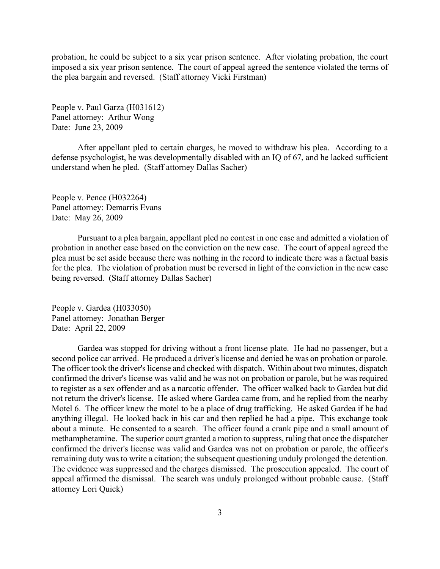probation, he could be subject to a six year prison sentence. After violating probation, the court imposed a six year prison sentence. The court of appeal agreed the sentence violated the terms of the plea bargain and reversed. (Staff attorney Vicki Firstman)

People v. Paul Garza (H031612) Panel attorney: Arthur Wong Date: June 23, 2009

After appellant pled to certain charges, he moved to withdraw his plea. According to a defense psychologist, he was developmentally disabled with an IQ of 67, and he lacked sufficient understand when he pled. (Staff attorney Dallas Sacher)

People v. Pence (H032264) Panel attorney: Demarris Evans Date: May 26, 2009

Pursuant to a plea bargain, appellant pled no contest in one case and admitted a violation of probation in another case based on the conviction on the new case. The court of appeal agreed the plea must be set aside because there was nothing in the record to indicate there was a factual basis for the plea. The violation of probation must be reversed in light of the conviction in the new case being reversed. (Staff attorney Dallas Sacher)

People v. Gardea (H033050) Panel attorney: Jonathan Berger Date: April 22, 2009

Gardea was stopped for driving without a front license plate. He had no passenger, but a second police car arrived. He produced a driver's license and denied he was on probation or parole. The officer took the driver's license and checked with dispatch. Within about two minutes, dispatch confirmed the driver's license was valid and he was not on probation or parole, but he was required to register as a sex offender and as a narcotic offender. The officer walked back to Gardea but did not return the driver's license. He asked where Gardea came from, and he replied from the nearby Motel 6. The officer knew the motel to be a place of drug trafficking. He asked Gardea if he had anything illegal. He looked back in his car and then replied he had a pipe. This exchange took about a minute. He consented to a search. The officer found a crank pipe and a small amount of methamphetamine. The superior court granted a motion to suppress, ruling that once the dispatcher confirmed the driver's license was valid and Gardea was not on probation or parole, the officer's remaining duty was to write a citation; the subsequent questioning unduly prolonged the detention. The evidence was suppressed and the charges dismissed. The prosecution appealed. The court of appeal affirmed the dismissal. The search was unduly prolonged without probable cause. (Staff attorney Lori Quick)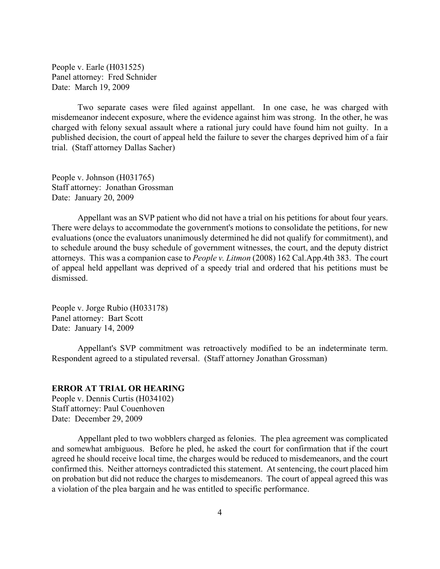<span id="page-3-0"></span>People v. Earle (H031525) Panel attorney: Fred Schnider Date: March 19, 2009

Two separate cases were filed against appellant. In one case, he was charged with misdemeanor indecent exposure, where the evidence against him was strong. In the other, he was charged with felony sexual assault where a rational jury could have found him not guilty. In a published decision, the court of appeal held the failure to sever the charges deprived him of a fair trial. (Staff attorney Dallas Sacher)

People v. Johnson (H031765) Staff attorney: Jonathan Grossman Date: January 20, 2009

Appellant was an SVP patient who did not have a trial on his petitions for about four years. There were delays to accommodate the government's motions to consolidate the petitions, for new evaluations (once the evaluators unanimously determined he did not qualify for commitment), and to schedule around the busy schedule of government witnesses, the court, and the deputy district attorneys. This was a companion case to *People v. Litmon* (2008) 162 Cal.App.4th 383. The court of appeal held appellant was deprived of a speedy trial and ordered that his petitions must be dismissed.

People v. Jorge Rubio (H033178) Panel attorney: Bart Scott Date: January 14, 2009

Appellant's SVP commitment was retroactively modified to be an indeterminate term. Respondent agreed to a stipulated reversal. (Staff attorney Jonathan Grossman)

## **ERROR AT TRIAL OR HEARING**

People v. Dennis Curtis (H034102) Staff attorney: Paul Couenhoven Date: December 29, 2009

Appellant pled to two wobblers charged as felonies. The plea agreement was complicated and somewhat ambiguous. Before he pled, he asked the court for confirmation that if the court agreed he should receive local time, the charges would be reduced to misdemeanors, and the court confirmed this. Neither attorneys contradicted this statement. At sentencing, the court placed him on probation but did not reduce the charges to misdemeanors. The court of appeal agreed this was a violation of the plea bargain and he was entitled to specific performance.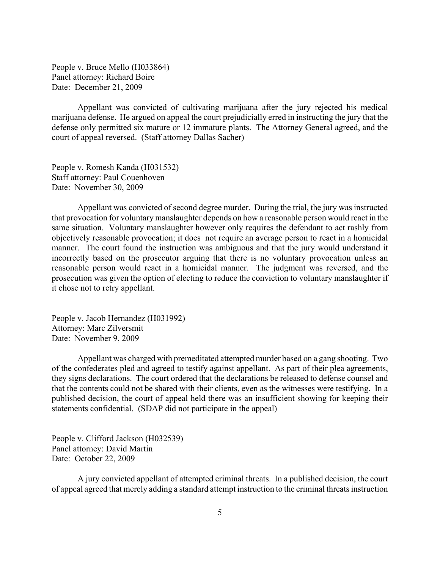People v. Bruce Mello (H033864) Panel attorney: Richard Boire Date: December 21, 2009

Appellant was convicted of cultivating marijuana after the jury rejected his medical marijuana defense. He argued on appeal the court prejudicially erred in instructing the jury that the defense only permitted six mature or 12 immature plants. The Attorney General agreed, and the court of appeal reversed. (Staff attorney Dallas Sacher)

People v. Romesh Kanda (H031532) Staff attorney: Paul Couenhoven Date: November 30, 2009

Appellant was convicted of second degree murder. During the trial, the jury was instructed that provocation for voluntary manslaughter depends on how a reasonable person would react in the same situation. Voluntary manslaughter however only requires the defendant to act rashly from objectively reasonable provocation; it does not require an average person to react in a homicidal manner. The court found the instruction was ambiguous and that the jury would understand it incorrectly based on the prosecutor arguing that there is no voluntary provocation unless an reasonable person would react in a homicidal manner. The judgment was reversed, and the prosecution was given the option of electing to reduce the conviction to voluntary manslaughter if it chose not to retry appellant.

People v. Jacob Hernandez (H031992) Attorney: Marc Zilversmit Date: November 9, 2009

Appellant was charged with premeditated attempted murder based on a gang shooting. Two of the confederates pled and agreed to testify against appellant. As part of their plea agreements, they signs declarations. The court ordered that the declarations be released to defense counsel and that the contents could not be shared with their clients, even as the witnesses were testifying. In a published decision, the court of appeal held there was an insufficient showing for keeping their statements confidential. (SDAP did not participate in the appeal)

People v. Clifford Jackson (H032539) Panel attorney: David Martin Date: October 22, 2009

A jury convicted appellant of attempted criminal threats. In a published decision, the court of appeal agreed that merely adding a standard attempt instruction to the criminal threats instruction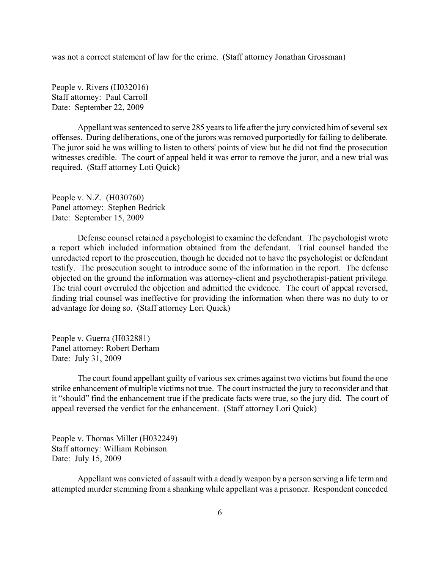was not a correct statement of law for the crime. (Staff attorney Jonathan Grossman)

People v. Rivers (H032016) Staff attorney: Paul Carroll Date: September 22, 2009

Appellant was sentenced to serve 285 years to life after the jury convicted him of several sex offenses. During deliberations, one of the jurors was removed purportedly for failing to deliberate. The juror said he was willing to listen to others' points of view but he did not find the prosecution witnesses credible. The court of appeal held it was error to remove the juror, and a new trial was required. (Staff attorney Loti Quick)

People v. N.Z. (H030760) Panel attorney: Stephen Bedrick Date: September 15, 2009

Defense counsel retained a psychologist to examine the defendant. The psychologist wrote a report which included information obtained from the defendant. Trial counsel handed the unredacted report to the prosecution, though he decided not to have the psychologist or defendant testify. The prosecution sought to introduce some of the information in the report. The defense objected on the ground the information was attorney-client and psychotherapist-patient privilege. The trial court overruled the objection and admitted the evidence. The court of appeal reversed, finding trial counsel was ineffective for providing the information when there was no duty to or advantage for doing so. (Staff attorney Lori Quick)

People v. Guerra (H032881) Panel attorney: Robert Derham Date: July 31, 2009

The court found appellant guilty of various sex crimes against two victims but found the one strike enhancement of multiple victims not true. The court instructed the jury to reconsider and that it "should" find the enhancement true if the predicate facts were true, so the jury did. The court of appeal reversed the verdict for the enhancement. (Staff attorney Lori Quick)

People v. Thomas Miller (H032249) Staff attorney: William Robinson Date: July 15, 2009

Appellant was convicted of assault with a deadly weapon by a person serving a life term and attempted murder stemming from a shanking while appellant was a prisoner. Respondent conceded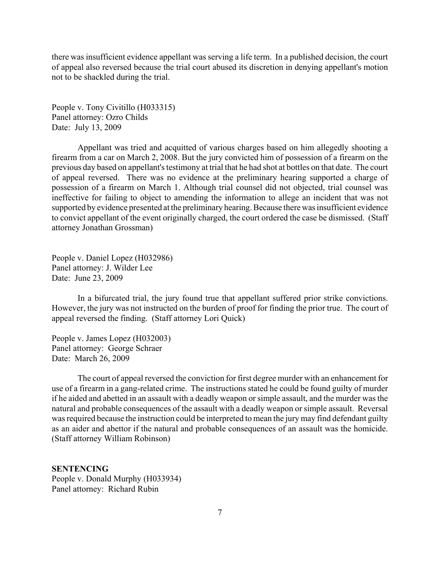<span id="page-6-0"></span>there was insufficient evidence appellant was serving a life term. In a published decision, the court of appeal also reversed because the trial court abused its discretion in denying appellant's motion not to be shackled during the trial.

People v. Tony Civitillo (H033315) Panel attorney: Ozro Childs Date: July 13, 2009

Appellant was tried and acquitted of various charges based on him allegedly shooting a firearm from a car on March 2, 2008. But the jury convicted him of possession of a firearm on the previous day based on appellant's testimony at trial that he had shot at bottles on that date. The court of appeal reversed. There was no evidence at the preliminary hearing supported a charge of possession of a firearm on March 1. Although trial counsel did not objected, trial counsel was ineffective for failing to object to amending the information to allege an incident that was not supported by evidence presented at the preliminary hearing. Because there was insufficient evidence to convict appellant of the event originally charged, the court ordered the case be dismissed. (Staff attorney Jonathan Grossman)

People v. Daniel Lopez (H032986) Panel attorney: J. Wilder Lee Date: June 23, 2009

In a bifurcated trial, the jury found true that appellant suffered prior strike convictions. However, the jury was not instructed on the burden of proof for finding the prior true. The court of appeal reversed the finding. (Staff attorney Lori Quick)

People v. James Lopez (H032003) Panel attorney: George Schraer Date: March 26, 2009

The court of appeal reversed the conviction for first degree murder with an enhancement for use of a firearm in a gang-related crime. The instructions stated he could be found guilty of murder if he aided and abetted in an assault with a deadly weapon or simple assault, and the murder was the natural and probable consequences of the assault with a deadly weapon or simple assault. Reversal was required because the instruction could be interpreted to mean the jury may find defendant guilty as an aider and abettor if the natural and probable consequences of an assault was the homicide. (Staff attorney William Robinson)

#### **SENTENCING**

People v. Donald Murphy (H033934) Panel attorney: Richard Rubin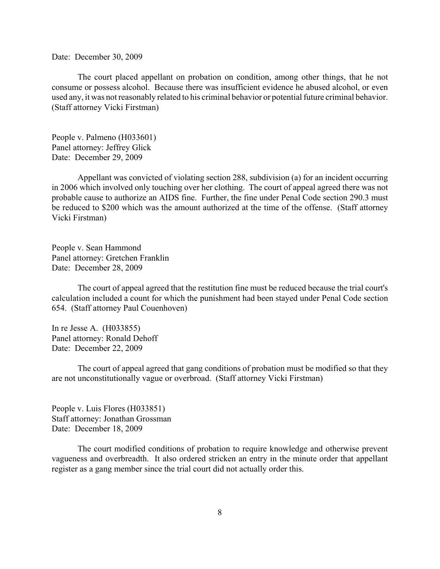Date: December 30, 2009

The court placed appellant on probation on condition, among other things, that he not consume or possess alcohol. Because there was insufficient evidence he abused alcohol, or even used any, it was not reasonably related to his criminal behavior or potential future criminal behavior. (Staff attorney Vicki Firstman)

People v. Palmeno (H033601) Panel attorney: Jeffrey Glick Date: December 29, 2009

Appellant was convicted of violating section 288, subdivision (a) for an incident occurring in 2006 which involved only touching over her clothing. The court of appeal agreed there was not probable cause to authorize an AIDS fine. Further, the fine under Penal Code section 290.3 must be reduced to \$200 which was the amount authorized at the time of the offense. (Staff attorney Vicki Firstman)

People v. Sean Hammond Panel attorney: Gretchen Franklin Date: December 28, 2009

The court of appeal agreed that the restitution fine must be reduced because the trial court's calculation included a count for which the punishment had been stayed under Penal Code section 654. (Staff attorney Paul Couenhoven)

In re Jesse A. (H033855) Panel attorney: Ronald Dehoff Date: December 22, 2009

The court of appeal agreed that gang conditions of probation must be modified so that they are not unconstitutionally vague or overbroad. (Staff attorney Vicki Firstman)

People v. Luis Flores (H033851) Staff attorney: Jonathan Grossman Date: December 18, 2009

The court modified conditions of probation to require knowledge and otherwise prevent vagueness and overbreadth. It also ordered stricken an entry in the minute order that appellant register as a gang member since the trial court did not actually order this.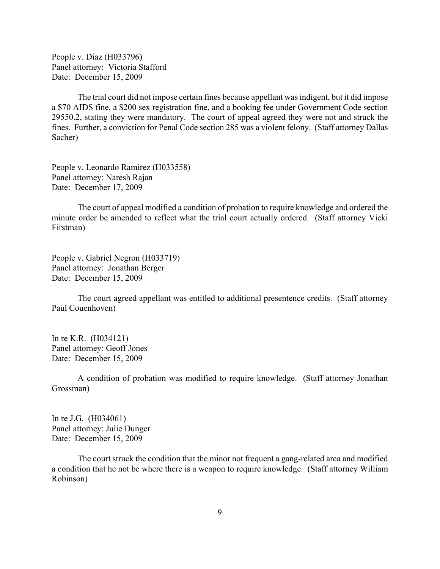People v. Diaz (H033796) Panel attorney: Victoria Stafford Date: December 15, 2009

The trial court did not impose certain fines because appellant was indigent, but it did impose a \$70 AIDS fine, a \$200 sex registration fine, and a booking fee under Government Code section 29550.2, stating they were mandatory. The court of appeal agreed they were not and struck the fines. Further, a conviction for Penal Code section 285 was a violent felony. (Staff attorney Dallas Sacher)

People v. Leonardo Ramirez (H033558) Panel attorney: Naresh Rajan Date: December 17, 2009

The court of appeal modified a condition of probation to require knowledge and ordered the minute order be amended to reflect what the trial court actually ordered. (Staff attorney Vicki Firstman)

People v. Gabriel Negron (H033719) Panel attorney: Jonathan Berger Date: December 15, 2009

The court agreed appellant was entitled to additional presentence credits. (Staff attorney Paul Couenhoven)

In re K.R. (H034121) Panel attorney: Geoff Jones Date: December 15, 2009

A condition of probation was modified to require knowledge. (Staff attorney Jonathan Grossman)

In re J.G. (H034061) Panel attorney: Julie Dunger Date: December 15, 2009

The court struck the condition that the minor not frequent a gang-related area and modified a condition that he not be where there is a weapon to require knowledge. (Staff attorney William Robinson)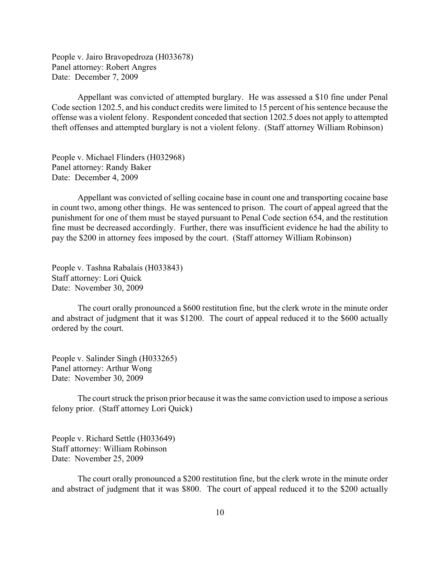People v. Jairo Bravopedroza (H033678) Panel attorney: Robert Angres Date: December 7, 2009

Appellant was convicted of attempted burglary. He was assessed a \$10 fine under Penal Code section 1202.5, and his conduct credits were limited to 15 percent of his sentence because the offense was a violent felony. Respondent conceded that section 1202.5 does not apply to attempted theft offenses and attempted burglary is not a violent felony. (Staff attorney William Robinson)

People v. Michael Flinders (H032968) Panel attorney: Randy Baker Date: December 4, 2009

Appellant was convicted of selling cocaine base in count one and transporting cocaine base in count two, among other things. He was sentenced to prison. The court of appeal agreed that the punishment for one of them must be stayed pursuant to Penal Code section 654, and the restitution fine must be decreased accordingly. Further, there was insufficient evidence he had the ability to pay the \$200 in attorney fees imposed by the court. (Staff attorney William Robinson)

People v. Tashna Rabalais (H033843) Staff attorney: Lori Quick Date: November 30, 2009

The court orally pronounced a \$600 restitution fine, but the clerk wrote in the minute order and abstract of judgment that it was \$1200. The court of appeal reduced it to the \$600 actually ordered by the court.

People v. Salinder Singh (H033265) Panel attorney: Arthur Wong Date: November 30, 2009

The court struck the prison prior because it was the same conviction used to impose a serious felony prior. (Staff attorney Lori Quick)

People v. Richard Settle (H033649) Staff attorney: William Robinson Date: November 25, 2009

The court orally pronounced a \$200 restitution fine, but the clerk wrote in the minute order and abstract of judgment that it was \$800. The court of appeal reduced it to the \$200 actually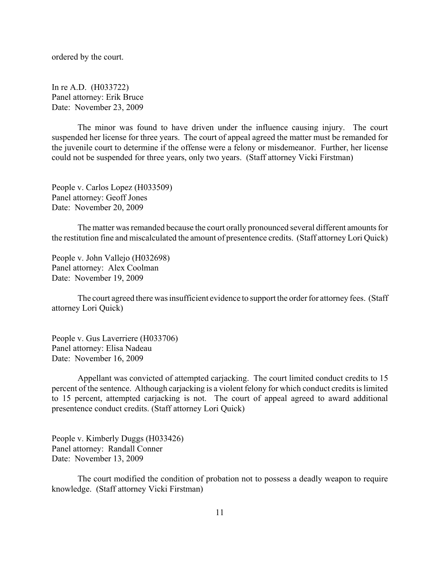ordered by the court.

In re A.D. (H033722) Panel attorney: Erik Bruce Date: November 23, 2009

The minor was found to have driven under the influence causing injury. The court suspended her license for three years. The court of appeal agreed the matter must be remanded for the juvenile court to determine if the offense were a felony or misdemeanor. Further, her license could not be suspended for three years, only two years. (Staff attorney Vicki Firstman)

People v. Carlos Lopez (H033509) Panel attorney: Geoff Jones Date: November 20, 2009

The matter was remanded because the court orally pronounced several different amounts for the restitution fine and miscalculated the amount of presentence credits. (Staff attorney Lori Quick)

People v. John Vallejo (H032698) Panel attorney: Alex Coolman Date: November 19, 2009

The court agreed there was insufficient evidence to support the order for attorney fees. (Staff attorney Lori Quick)

People v. Gus Laverriere (H033706) Panel attorney: Elisa Nadeau Date: November 16, 2009

Appellant was convicted of attempted carjacking. The court limited conduct credits to 15 percent of the sentence. Although carjacking is a violent felony for which conduct credits is limited to 15 percent, attempted carjacking is not. The court of appeal agreed to award additional presentence conduct credits. (Staff attorney Lori Quick)

People v. Kimberly Duggs (H033426) Panel attorney: Randall Conner Date: November 13, 2009

The court modified the condition of probation not to possess a deadly weapon to require knowledge. (Staff attorney Vicki Firstman)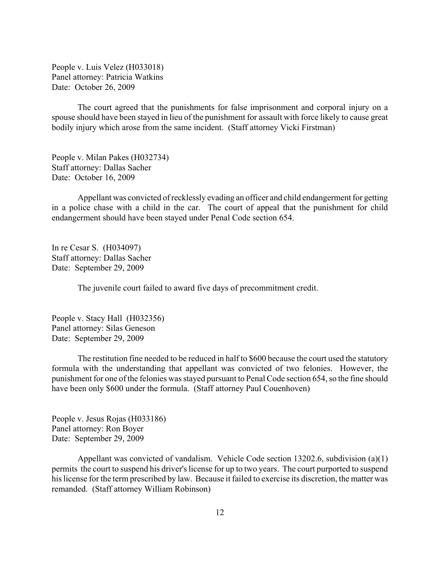People v. Luis Velez (H033018) Panel attorney: Patricia Watkins Date: October 26, 2009

The court agreed that the punishments for false imprisonment and corporal injury on a spouse should have been stayed in lieu of the punishment for assault with force likely to cause great bodily injury which arose from the same incident. (Staff attorney Vicki Firstman)

People v. Milan Pakes (H032734) Staff attorney: Dallas Sacher Date: October 16, 2009

Appellant was convicted of recklessly evading an officer and child endangerment for getting in a police chase with a child in the car. The court of appeal that the punishment for child endangerment should have been stayed under Penal Code section 654.

In re Cesar S. (H034097) Staff attorney: Dallas Sacher Date: September 29, 2009

The juvenile court failed to award five days of precommitment credit.

People v. Stacy Hall (H032356) Panel attorney: Silas Geneson Date: September 29, 2009

The restitution fine needed to be reduced in half to \$600 because the court used the statutory formula with the understanding that appellant was convicted of two felonies. However, the punishment for one of the felonies was stayed pursuant to Penal Code section 654, so the fine should have been only \$600 under the formula. (Staff attorney Paul Couenhoven)

People v. Jesus Rojas (H033186) Panel attorney: Ron Boyer Date: September 29, 2009

Appellant was convicted of vandalism. Vehicle Code section 13202.6, subdivision (a)(1) permits the court to suspend his driver's license for up to two years. The court purported to suspend his license for the term prescribed by law. Because it failed to exercise its discretion, the matter was remanded. (Staff attorney William Robinson)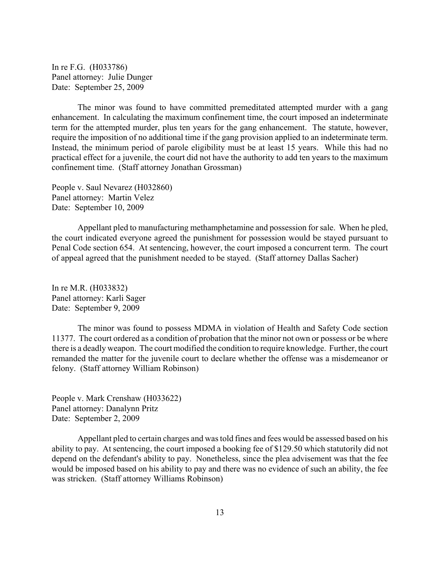In re F.G. (H033786) Panel attorney: Julie Dunger Date: September 25, 2009

The minor was found to have committed premeditated attempted murder with a gang enhancement. In calculating the maximum confinement time, the court imposed an indeterminate term for the attempted murder, plus ten years for the gang enhancement. The statute, however, require the imposition of no additional time if the gang provision applied to an indeterminate term. Instead, the minimum period of parole eligibility must be at least 15 years. While this had no practical effect for a juvenile, the court did not have the authority to add ten years to the maximum confinement time. (Staff attorney Jonathan Grossman)

People v. Saul Nevarez (H032860) Panel attorney: Martin Velez Date: September 10, 2009

Appellant pled to manufacturing methamphetamine and possession for sale. When he pled, the court indicated everyone agreed the punishment for possession would be stayed pursuant to Penal Code section 654. At sentencing, however, the court imposed a concurrent term. The court of appeal agreed that the punishment needed to be stayed. (Staff attorney Dallas Sacher)

In re M.R. (H033832) Panel attorney: Karli Sager Date: September 9, 2009

The minor was found to possess MDMA in violation of Health and Safety Code section 11377. The court ordered as a condition of probation that the minor not own or possess or be where there is a deadly weapon. The court modified the condition to require knowledge. Further, the court remanded the matter for the juvenile court to declare whether the offense was a misdemeanor or felony. (Staff attorney William Robinson)

People v. Mark Crenshaw (H033622) Panel attorney: Danalynn Pritz Date: September 2, 2009

Appellant pled to certain charges and was told fines and fees would be assessed based on his ability to pay. At sentencing, the court imposed a booking fee of \$129.50 which statutorily did not depend on the defendant's ability to pay. Nonetheless, since the plea advisement was that the fee would be imposed based on his ability to pay and there was no evidence of such an ability, the fee was stricken. (Staff attorney Williams Robinson)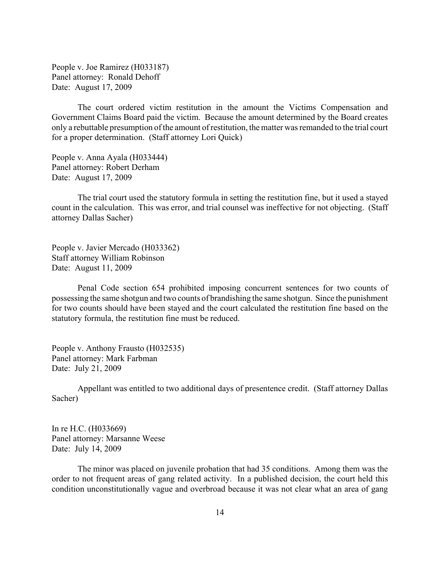People v. Joe Ramirez (H033187) Panel attorney: Ronald Dehoff Date: August 17, 2009

The court ordered victim restitution in the amount the Victims Compensation and Government Claims Board paid the victim. Because the amount determined by the Board creates only a rebuttable presumption of the amount of restitution, the matter was remanded to the trial court for a proper determination. (Staff attorney Lori Quick)

People v. Anna Ayala (H033444) Panel attorney: Robert Derham Date: August 17, 2009

 The trial court used the statutory formula in setting the restitution fine, but it used a stayed count in the calculation. This was error, and trial counsel was ineffective for not objecting. (Staff attorney Dallas Sacher)

People v. Javier Mercado (H033362) Staff attorney William Robinson Date: August 11, 2009

Penal Code section 654 prohibited imposing concurrent sentences for two counts of possessing the same shotgun and two counts of brandishing the same shotgun. Since the punishment for two counts should have been stayed and the court calculated the restitution fine based on the statutory formula, the restitution fine must be reduced.

People v. Anthony Frausto (H032535) Panel attorney: Mark Farbman Date: July 21, 2009

Appellant was entitled to two additional days of presentence credit. (Staff attorney Dallas Sacher)

In re H.C. (H033669) Panel attorney: Marsanne Weese Date: July 14, 2009

The minor was placed on juvenile probation that had 35 conditions. Among them was the order to not frequent areas of gang related activity. In a published decision, the court held this condition unconstitutionally vague and overbroad because it was not clear what an area of gang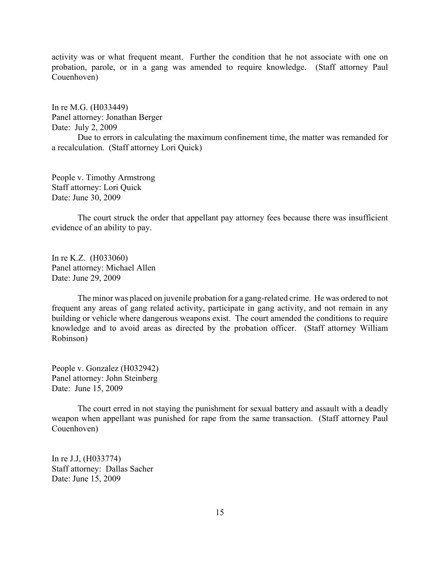activity was or what frequent meant. Further the condition that he not associate with one on probation, parole, or in a gang was amended to require knowledge. (Staff attorney Paul Couenhoven)

In re M.G. (H033449) Panel attorney: Jonathan Berger Date: July 2, 2009

Due to errors in calculating the maximum confinement time, the matter was remanded for a recalculation. (Staff attorney Lori Quick)

People v. Timothy Armstrong Staff attorney: Lori Quick Date: June 30, 2009

The court struck the order that appellant pay attorney fees because there was insufficient evidence of an ability to pay.

In re K.Z. (H033060) Panel attorney: Michael Allen Date: June 29, 2009

The minor was placed on juvenile probation for a gang-related crime. He was ordered to not frequent any areas of gang related activity, participate in gang activity, and not remain in any building or vehicle where dangerous weapons exist. The court amended the conditions to require knowledge and to avoid areas as directed by the probation officer. (Staff attorney William Robinson)

People v. Gonzalez (H032942) Panel attorney: John Steinberg Date: June 15, 2009

The court erred in not staying the punishment for sexual battery and assault with a deadly weapon when appellant was punished for rape from the same transaction. (Staff attorney Paul Couenhoven)

In re J.J, (H033774) Staff attorney: Dallas Sacher Date: June 15, 2009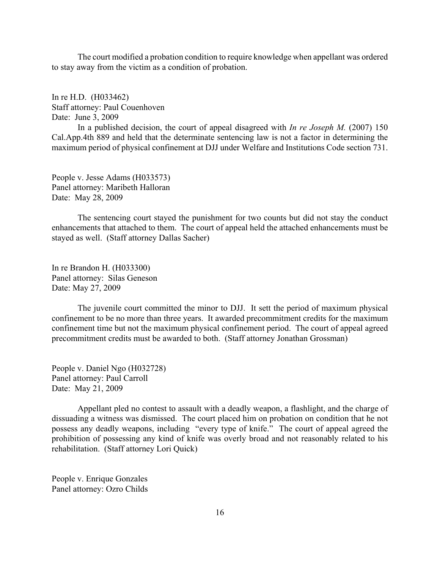The court modified a probation condition to require knowledge when appellant was ordered to stay away from the victim as a condition of probation.

In re H.D. (H033462) Staff attorney: Paul Couenhoven Date: June 3, 2009

In a published decision, the court of appeal disagreed with *In re Joseph M.* (2007) 150 Cal.App.4th 889 and held that the determinate sentencing law is not a factor in determining the maximum period of physical confinement at DJJ under Welfare and Institutions Code section 731.

People v. Jesse Adams (H033573) Panel attorney: Maribeth Halloran Date: May 28, 2009

The sentencing court stayed the punishment for two counts but did not stay the conduct enhancements that attached to them. The court of appeal held the attached enhancements must be stayed as well. (Staff attorney Dallas Sacher)

In re Brandon H. (H033300) Panel attorney: Silas Geneson Date: May 27, 2009

The juvenile court committed the minor to DJJ. It sett the period of maximum physical confinement to be no more than three years. It awarded precommitment credits for the maximum confinement time but not the maximum physical confinement period. The court of appeal agreed precommitment credits must be awarded to both. (Staff attorney Jonathan Grossman)

People v. Daniel Ngo (H032728) Panel attorney: Paul Carroll Date: May 21, 2009

Appellant pled no contest to assault with a deadly weapon, a flashlight, and the charge of dissuading a witness was dismissed. The court placed him on probation on condition that he not possess any deadly weapons, including "every type of knife." The court of appeal agreed the prohibition of possessing any kind of knife was overly broad and not reasonably related to his rehabilitation. (Staff attorney Lori Quick)

People v. Enrique Gonzales Panel attorney: Ozro Childs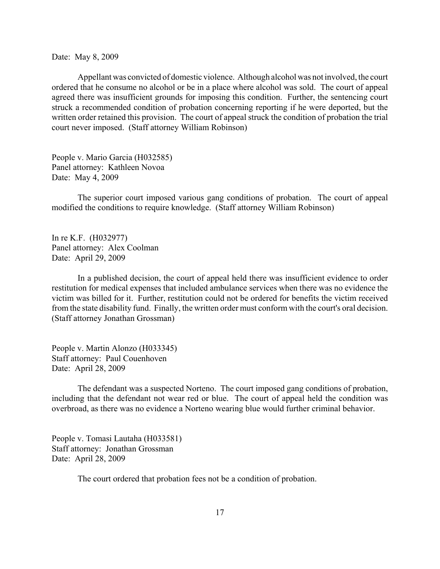Date: May 8, 2009

Appellant was convicted of domestic violence. Although alcohol was not involved, the court ordered that he consume no alcohol or be in a place where alcohol was sold. The court of appeal agreed there was insufficient grounds for imposing this condition. Further, the sentencing court struck a recommended condition of probation concerning reporting if he were deported, but the written order retained this provision. The court of appeal struck the condition of probation the trial court never imposed. (Staff attorney William Robinson)

People v. Mario Garcia (H032585) Panel attorney: Kathleen Novoa Date: May 4, 2009

The superior court imposed various gang conditions of probation. The court of appeal modified the conditions to require knowledge. (Staff attorney William Robinson)

In re K.F. (H032977) Panel attorney: Alex Coolman Date: April 29, 2009

In a published decision, the court of appeal held there was insufficient evidence to order restitution for medical expenses that included ambulance services when there was no evidence the victim was billed for it. Further, restitution could not be ordered for benefits the victim received from the state disability fund. Finally, the written order must conform with the court's oral decision. (Staff attorney Jonathan Grossman)

People v. Martin Alonzo (H033345) Staff attorney: Paul Couenhoven Date: April 28, 2009

The defendant was a suspected Norteno. The court imposed gang conditions of probation, including that the defendant not wear red or blue. The court of appeal held the condition was overbroad, as there was no evidence a Norteno wearing blue would further criminal behavior.

People v. Tomasi Lautaha (H033581) Staff attorney: Jonathan Grossman Date: April 28, 2009

The court ordered that probation fees not be a condition of probation.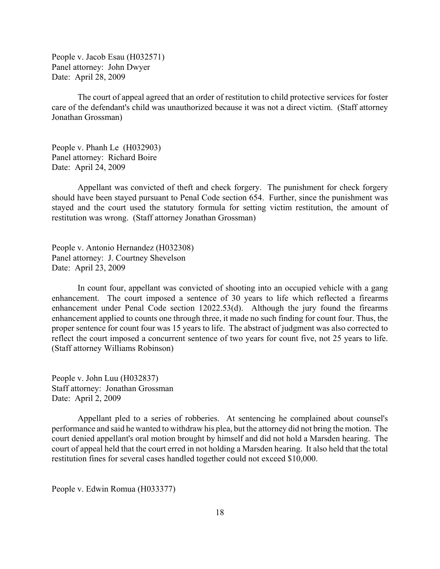People v. Jacob Esau (H032571) Panel attorney: John Dwyer Date: April 28, 2009

The court of appeal agreed that an order of restitution to child protective services for foster care of the defendant's child was unauthorized because it was not a direct victim. (Staff attorney Jonathan Grossman)

People v. Phanh Le (H032903) Panel attorney: Richard Boire Date: April 24, 2009

Appellant was convicted of theft and check forgery. The punishment for check forgery should have been stayed pursuant to Penal Code section 654. Further, since the punishment was stayed and the court used the statutory formula for setting victim restitution, the amount of restitution was wrong. (Staff attorney Jonathan Grossman)

People v. Antonio Hernandez (H032308) Panel attorney: J. Courtney Shevelson Date: April 23, 2009

In count four, appellant was convicted of shooting into an occupied vehicle with a gang enhancement. The court imposed a sentence of 30 years to life which reflected a firearms enhancement under Penal Code section 12022.53(d). Although the jury found the firearms enhancement applied to counts one through three, it made no such finding for count four. Thus, the proper sentence for count four was 15 years to life. The abstract of judgment was also corrected to reflect the court imposed a concurrent sentence of two years for count five, not 25 years to life. (Staff attorney Williams Robinson)

People v. John Luu (H032837) Staff attorney: Jonathan Grossman Date: April 2, 2009

Appellant pled to a series of robberies. At sentencing he complained about counsel's performance and said he wanted to withdraw his plea, but the attorney did not bring the motion. The court denied appellant's oral motion brought by himself and did not hold a Marsden hearing. The court of appeal held that the court erred in not holding a Marsden hearing. It also held that the total restitution fines for several cases handled together could not exceed \$10,000.

People v. Edwin Romua (H033377)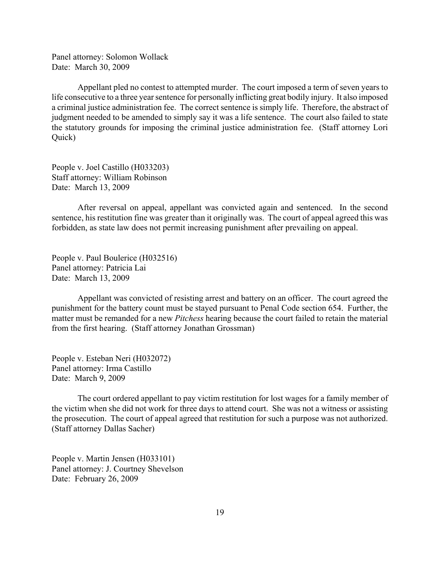Panel attorney: Solomon Wollack Date: March 30, 2009

Appellant pled no contest to attempted murder. The court imposed a term of seven years to life consecutive to a three year sentence for personally inflicting great bodily injury. It also imposed a criminal justice administration fee. The correct sentence is simply life. Therefore, the abstract of judgment needed to be amended to simply say it was a life sentence. The court also failed to state the statutory grounds for imposing the criminal justice administration fee. (Staff attorney Lori Quick)

People v. Joel Castillo (H033203) Staff attorney: William Robinson Date: March 13, 2009

After reversal on appeal, appellant was convicted again and sentenced. In the second sentence, his restitution fine was greater than it originally was. The court of appeal agreed this was forbidden, as state law does not permit increasing punishment after prevailing on appeal.

People v. Paul Boulerice (H032516) Panel attorney: Patricia Lai Date: March 13, 2009

Appellant was convicted of resisting arrest and battery on an officer. The court agreed the punishment for the battery count must be stayed pursuant to Penal Code section 654. Further, the matter must be remanded for a new *Pitchess* hearing because the court failed to retain the material from the first hearing. (Staff attorney Jonathan Grossman)

People v. Esteban Neri (H032072) Panel attorney: Irma Castillo Date: March 9, 2009

The court ordered appellant to pay victim restitution for lost wages for a family member of the victim when she did not work for three days to attend court. She was not a witness or assisting the prosecution. The court of appeal agreed that restitution for such a purpose was not authorized. (Staff attorney Dallas Sacher)

People v. Martin Jensen (H033101) Panel attorney: J. Courtney Shevelson Date: February 26, 2009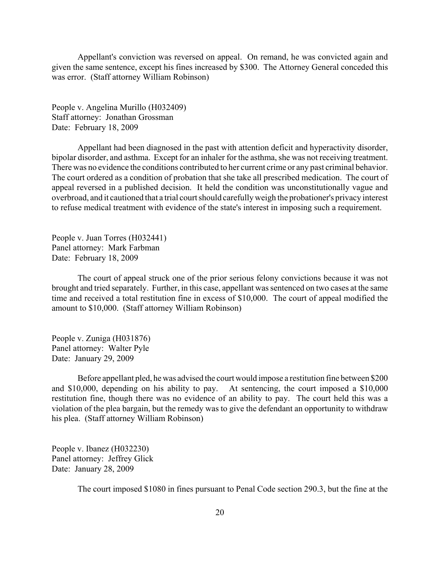Appellant's conviction was reversed on appeal. On remand, he was convicted again and given the same sentence, except his fines increased by \$300. The Attorney General conceded this was error. (Staff attorney William Robinson)

People v. Angelina Murillo (H032409) Staff attorney: Jonathan Grossman Date: February 18, 2009

Appellant had been diagnosed in the past with attention deficit and hyperactivity disorder, bipolar disorder, and asthma. Except for an inhaler for the asthma, she was not receiving treatment. There was no evidence the conditions contributed to her current crime or any past criminal behavior. The court ordered as a condition of probation that she take all prescribed medication. The court of appeal reversed in a published decision. It held the condition was unconstitutionally vague and overbroad, and it cautioned that a trial court should carefully weigh the probationer's privacy interest to refuse medical treatment with evidence of the state's interest in imposing such a requirement.

People v. Juan Torres (H032441) Panel attorney: Mark Farbman Date: February 18, 2009

The court of appeal struck one of the prior serious felony convictions because it was not brought and tried separately. Further, in this case, appellant was sentenced on two cases at the same time and received a total restitution fine in excess of \$10,000. The court of appeal modified the amount to \$10,000. (Staff attorney William Robinson)

People v. Zuniga (H031876) Panel attorney: Walter Pyle Date: January 29, 2009

Before appellant pled, he was advised the court would impose a restitution fine between \$200 and \$10,000, depending on his ability to pay. At sentencing, the court imposed a \$10,000 restitution fine, though there was no evidence of an ability to pay. The court held this was a violation of the plea bargain, but the remedy was to give the defendant an opportunity to withdraw his plea. (Staff attorney William Robinson)

People v. Ibanez (H032230) Panel attorney: Jeffrey Glick Date: January 28, 2009

The court imposed \$1080 in fines pursuant to Penal Code section 290.3, but the fine at the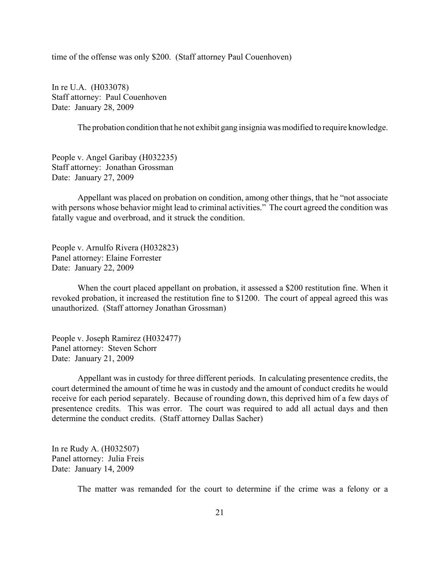time of the offense was only \$200. (Staff attorney Paul Couenhoven)

In re U.A. (H033078) Staff attorney: Paul Couenhoven Date: January 28, 2009

The probation condition that he not exhibit gang insignia was modified to require knowledge.

People v. Angel Garibay (H032235) Staff attorney: Jonathan Grossman Date: January 27, 2009

Appellant was placed on probation on condition, among other things, that he "not associate with persons whose behavior might lead to criminal activities." The court agreed the condition was fatally vague and overbroad, and it struck the condition.

People v. Arnulfo Rivera (H032823) Panel attorney: Elaine Forrester Date: January 22, 2009

When the court placed appellant on probation, it assessed a \$200 restitution fine. When it revoked probation, it increased the restitution fine to \$1200. The court of appeal agreed this was unauthorized. (Staff attorney Jonathan Grossman)

People v. Joseph Ramirez (H032477) Panel attorney: Steven Schorr Date: January 21, 2009

Appellant was in custody for three different periods. In calculating presentence credits, the court determined the amount of time he was in custody and the amount of conduct credits he would receive for each period separately. Because of rounding down, this deprived him of a few days of presentence credits. This was error. The court was required to add all actual days and then determine the conduct credits. (Staff attorney Dallas Sacher)

In re Rudy A. (H032507) Panel attorney: Julia Freis Date: January 14, 2009

The matter was remanded for the court to determine if the crime was a felony or a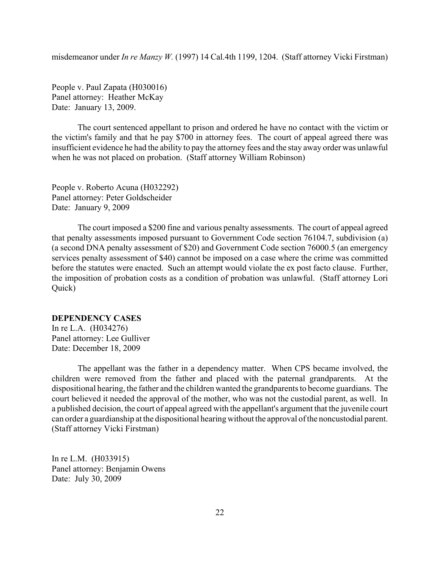<span id="page-21-0"></span>misdemeanor under *In re Manzy W.* (1997) 14 Cal.4th 1199, 1204. (Staff attorney Vicki Firstman)

People v. Paul Zapata (H030016) Panel attorney: Heather McKay Date: January 13, 2009.

The court sentenced appellant to prison and ordered he have no contact with the victim or the victim's family and that he pay \$700 in attorney fees. The court of appeal agreed there was insufficient evidence he had the ability to pay the attorney fees and the stay away order was unlawful when he was not placed on probation. (Staff attorney William Robinson)

People v. Roberto Acuna (H032292) Panel attorney: Peter Goldscheider Date: January 9, 2009

The court imposed a \$200 fine and various penalty assessments. The court of appeal agreed that penalty assessments imposed pursuant to Government Code section 76104.7, subdivision (a) (a second DNA penalty assessment of \$20) and Government Code section 76000.5 (an emergency services penalty assessment of \$40) cannot be imposed on a case where the crime was committed before the statutes were enacted. Such an attempt would violate the ex post facto clause. Further, the imposition of probation costs as a condition of probation was unlawful. (Staff attorney Lori Quick)

### **DEPENDENCY CASES**

In re L.A. (H034276) Panel attorney: Lee Gulliver Date: December 18, 2009

The appellant was the father in a dependency matter. When CPS became involved, the children were removed from the father and placed with the paternal grandparents. At the dispositional hearing, the father and the children wanted the grandparents to become guardians. The court believed it needed the approval of the mother, who was not the custodial parent, as well. In a published decision, the court of appeal agreed with the appellant's argument that the juvenile court can order a guardianship at the dispositional hearing without the approval of the noncustodial parent. (Staff attorney Vicki Firstman)

In re L.M. (H033915) Panel attorney: Benjamin Owens Date: July 30, 2009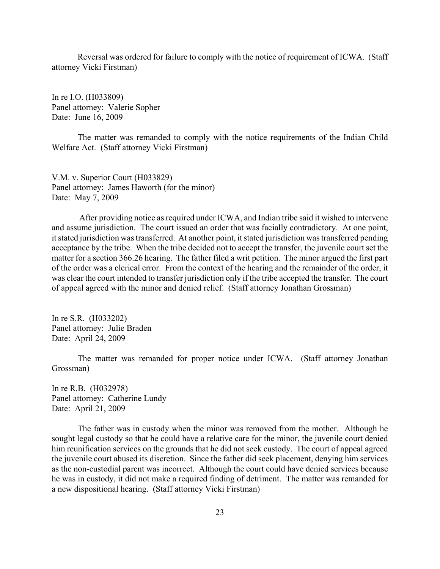Reversal was ordered for failure to comply with the notice of requirement of ICWA. (Staff attorney Vicki Firstman)

In re I.O. (H033809) Panel attorney: Valerie Sopher Date: June 16, 2009

The matter was remanded to comply with the notice requirements of the Indian Child Welfare Act. (Staff attorney Vicki Firstman)

V.M. v. Superior Court (H033829) Panel attorney: James Haworth (for the minor) Date: May 7, 2009

 After providing notice as required under ICWA, and Indian tribe said it wished to intervene and assume jurisdiction. The court issued an order that was facially contradictory. At one point, it stated jurisdiction was transferred. At another point, it stated jurisdiction was transferred pending acceptance by the tribe. When the tribe decided not to accept the transfer, the juvenile court set the matter for a section 366.26 hearing. The father filed a writ petition. The minor argued the first part of the order was a clerical error. From the context of the hearing and the remainder of the order, it was clear the court intended to transfer jurisdiction only if the tribe accepted the transfer. The court of appeal agreed with the minor and denied relief. (Staff attorney Jonathan Grossman)

In re S.R. (H033202) Panel attorney: Julie Braden Date: April 24, 2009

The matter was remanded for proper notice under ICWA. (Staff attorney Jonathan Grossman)

In re R.B. (H032978) Panel attorney: Catherine Lundy Date: April 21, 2009

The father was in custody when the minor was removed from the mother. Although he sought legal custody so that he could have a relative care for the minor, the juvenile court denied him reunification services on the grounds that he did not seek custody. The court of appeal agreed the juvenile court abused its discretion. Since the father did seek placement, denying him services as the non-custodial parent was incorrect. Although the court could have denied services because he was in custody, it did not make a required finding of detriment. The matter was remanded for a new dispositional hearing. (Staff attorney Vicki Firstman)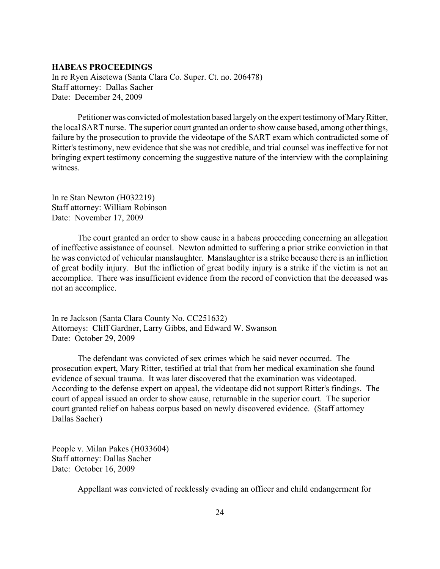# <span id="page-23-0"></span>**HABEAS PROCEEDINGS**

In re Ryen Aisetewa (Santa Clara Co. Super. Ct. no. 206478) Staff attorney: Dallas Sacher Date: December 24, 2009

Petitioner was convicted of molestation based largely on the expert testimony of Mary Ritter, the local SART nurse. The superior court granted an order to show cause based, among other things, failure by the prosecution to provide the videotape of the SART exam which contradicted some of Ritter's testimony, new evidence that she was not credible, and trial counsel was ineffective for not bringing expert testimony concerning the suggestive nature of the interview with the complaining witness.

In re Stan Newton (H032219) Staff attorney: William Robinson Date: November 17, 2009

The court granted an order to show cause in a habeas proceeding concerning an allegation of ineffective assistance of counsel. Newton admitted to suffering a prior strike conviction in that he was convicted of vehicular manslaughter. Manslaughter is a strike because there is an infliction of great bodily injury. But the infliction of great bodily injury is a strike if the victim is not an accomplice. There was insufficient evidence from the record of conviction that the deceased was not an accomplice.

In re Jackson (Santa Clara County No. CC251632) Attorneys: Cliff Gardner, Larry Gibbs, and Edward W. Swanson Date: October 29, 2009

The defendant was convicted of sex crimes which he said never occurred. The prosecution expert, Mary Ritter, testified at trial that from her medical examination she found evidence of sexual trauma. It was later discovered that the examination was videotaped. According to the defense expert on appeal, the videotape did not support Ritter's findings. The court of appeal issued an order to show cause, returnable in the superior court. The superior court granted relief on habeas corpus based on newly discovered evidence. (Staff attorney Dallas Sacher)

People v. Milan Pakes (H033604) Staff attorney: Dallas Sacher Date: October 16, 2009

Appellant was convicted of recklessly evading an officer and child endangerment for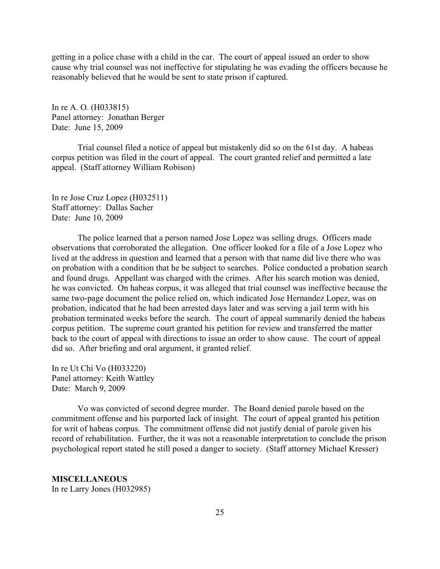<span id="page-24-0"></span>getting in a police chase with a child in the car. The court of appeal issued an order to show cause why trial counsel was not ineffective for stipulating he was evading the officers because he reasonably believed that he would be sent to state prison if captured.

In re A. O. (H033815) Panel attorney: Jonathan Berger Date: June 15, 2009

Trial counsel filed a notice of appeal but mistakenly did so on the 61st day. A habeas corpus petition was filed in the court of appeal. The court granted relief and permitted a late appeal. (Staff attorney William Robison)

In re Jose Cruz Lopez (H032511) Staff attorney: Dallas Sacher Date: June 10, 2009

The police learned that a person named Jose Lopez was selling drugs. Officers made observations that corroborated the allegation. One officer looked for a file of a Jose Lopez who lived at the address in question and learned that a person with that name did live there who was on probation with a condition that he be subject to searches. Police conducted a probation search and found drugs. Appellant was charged with the crimes. After his search motion was denied, he was convicted. On habeas corpus, it was alleged that trial counsel was ineffective because the same two-page document the police relied on, which indicated Jose Hernandez Lopez, was on probation, indicated that he had been arrested days later and was serving a jail term with his probation terminated weeks before the search. The court of appeal summarily denied the habeas corpus petition. The supreme court granted his petition for review and transferred the matter back to the court of appeal with directions to issue an order to show cause. The court of appeal did so. After briefing and oral argument, it granted relief.

In re Ut Chi Vo (H033220) Panel attorney: Keith Wattley Date: March 9, 2009

Vo was convicted of second degree murder. The Board denied parole based on the commitment offense and his purported lack of insight. The court of appeal granted his petition for writ of habeas corpus. The commitment offense did not justify denial of parole given his record of rehabilitation. Further, the it was not a reasonable interpretation to conclude the prison psychological report stated he still posed a danger to society. (Staff attorney Michael Kresser)

**MISCELLANEOUS**

In re Larry Jones (H032985)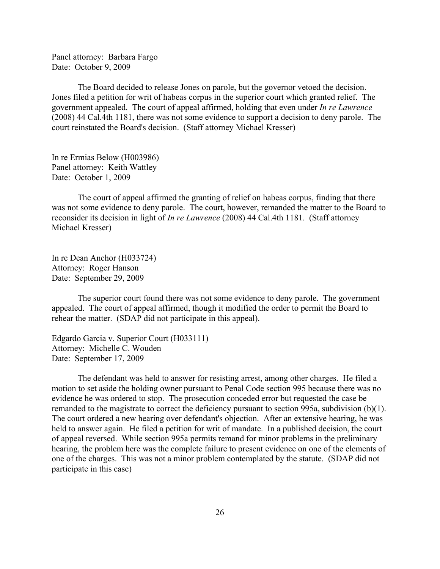Panel attorney: Barbara Fargo Date: October 9, 2009

The Board decided to release Jones on parole, but the governor vetoed the decision. Jones filed a petition for writ of habeas corpus in the superior court which granted relief. The government appealed. The court of appeal affirmed, holding that even under *In re Lawrence* (2008) 44 Cal.4th 1181, there was not some evidence to support a decision to deny parole. The court reinstated the Board's decision. (Staff attorney Michael Kresser)

In re Ermias Below (H003986) Panel attorney: Keith Wattley Date: October 1, 2009

The court of appeal affirmed the granting of relief on habeas corpus, finding that there was not some evidence to deny parole. The court, however, remanded the matter to the Board to reconsider its decision in light of *In re Lawrence* (2008) 44 Cal.4th 1181. (Staff attorney Michael Kresser)

In re Dean Anchor (H033724) Attorney: Roger Hanson Date: September 29, 2009

The superior court found there was not some evidence to deny parole. The government appealed. The court of appeal affirmed, though it modified the order to permit the Board to rehear the matter. (SDAP did not participate in this appeal).

Edgardo Garcia v. Superior Court (H033111) Attorney: Michelle C. Wouden Date: September 17, 2009

The defendant was held to answer for resisting arrest, among other charges. He filed a motion to set aside the holding owner pursuant to Penal Code section 995 because there was no evidence he was ordered to stop. The prosecution conceded error but requested the case be remanded to the magistrate to correct the deficiency pursuant to section 995a, subdivision (b)(1). The court ordered a new hearing over defendant's objection. After an extensive hearing, he was held to answer again. He filed a petition for writ of mandate. In a published decision, the court of appeal reversed. While section 995a permits remand for minor problems in the preliminary hearing, the problem here was the complete failure to present evidence on one of the elements of one of the charges. This was not a minor problem contemplated by the statute. (SDAP did not participate in this case)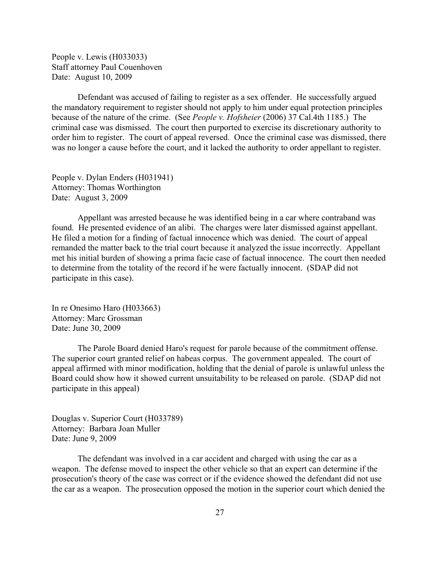People v. Lewis (H033033) Staff attorney Paul Couenhoven Date: August 10, 2009

Defendant was accused of failing to register as a sex offender. He successfully argued the mandatory requirement to register should not apply to him under equal protection principles because of the nature of the crime. (See *People v. Hofsheier* (2006) 37 Cal.4th 1185.) The criminal case was dismissed. The court then purported to exercise its discretionary authority to order him to register. The court of appeal reversed. Once the criminal case was dismissed, there was no longer a cause before the court, and it lacked the authority to order appellant to register.

People v. Dylan Enders (H031941) Attorney: Thomas Worthington Date: August 3, 2009

Appellant was arrested because he was identified being in a car where contraband was found. He presented evidence of an alibi. The charges were later dismissed against appellant. He filed a motion for a finding of factual innocence which was denied. The court of appeal remanded the matter back to the trial court because it analyzed the issue incorrectly. Appellant met his initial burden of showing a prima facie case of factual innocence. The court then needed to determine from the totality of the record if he were factually innocent. (SDAP did not participate in this case).

In re Onesimo Haro (H033663) Attorney: Marc Grossman Date: June 30, 2009

The Parole Board denied Haro's request for parole because of the commitment offense. The superior court granted relief on habeas corpus. The government appealed. The court of appeal affirmed with minor modification, holding that the denial of parole is unlawful unless the Board could show how it showed current unsuitability to be released on parole. (SDAP did not participate in this appeal)

Douglas v. Superior Court (H033789) Attorney: Barbara Joan Muller Date: June 9, 2009

The defendant was involved in a car accident and charged with using the car as a weapon. The defense moved to inspect the other vehicle so that an expert can determine if the prosecution's theory of the case was correct or if the evidence showed the defendant did not use the car as a weapon. The prosecution opposed the motion in the superior court which denied the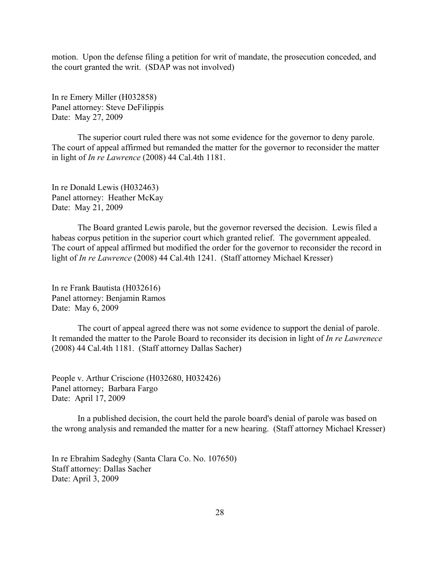motion. Upon the defense filing a petition for writ of mandate, the prosecution conceded, and the court granted the writ. (SDAP was not involved)

In re Emery Miller (H032858) Panel attorney: Steve DeFilippis Date: May 27, 2009

The superior court ruled there was not some evidence for the governor to deny parole. The court of appeal affirmed but remanded the matter for the governor to reconsider the matter in light of *In re Lawrence* (2008) 44 Cal.4th 1181.

In re Donald Lewis (H032463) Panel attorney: Heather McKay Date: May 21, 2009

The Board granted Lewis parole, but the governor reversed the decision. Lewis filed a habeas corpus petition in the superior court which granted relief. The government appealed. The court of appeal affirmed but modified the order for the governor to reconsider the record in light of *In re Lawrence* (2008) 44 Cal.4th 1241. (Staff attorney Michael Kresser)

In re Frank Bautista (H032616) Panel attorney: Benjamin Ramos Date: May 6, 2009

The court of appeal agreed there was not some evidence to support the denial of parole. It remanded the matter to the Parole Board to reconsider its decision in light of *In re Lawrenece* (2008) 44 Cal.4th 1181. (Staff attorney Dallas Sacher)

People v. Arthur Criscione (H032680, H032426) Panel attorney; Barbara Fargo Date: April 17, 2009

In a published decision, the court held the parole board's denial of parole was based on the wrong analysis and remanded the matter for a new hearing. (Staff attorney Michael Kresser)

In re Ebrahim Sadeghy (Santa Clara Co. No. 107650) Staff attorney: Dallas Sacher Date: April 3, 2009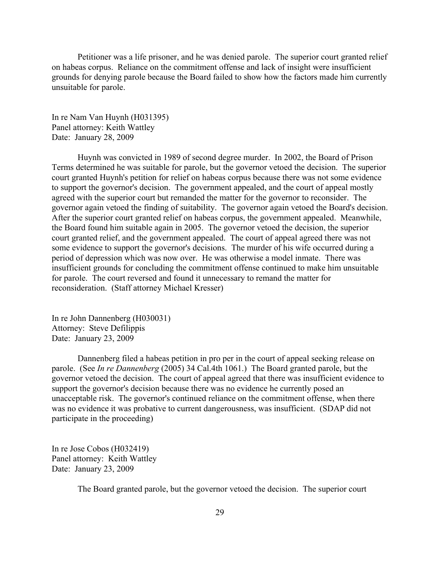Petitioner was a life prisoner, and he was denied parole. The superior court granted relief on habeas corpus. Reliance on the commitment offense and lack of insight were insufficient grounds for denying parole because the Board failed to show how the factors made him currently unsuitable for parole.

In re Nam Van Huynh (H031395) Panel attorney: Keith Wattley Date: January 28, 2009

Huynh was convicted in 1989 of second degree murder. In 2002, the Board of Prison Terms determined he was suitable for parole, but the governor vetoed the decision. The superior court granted Huynh's petition for relief on habeas corpus because there was not some evidence to support the governor's decision. The government appealed, and the court of appeal mostly agreed with the superior court but remanded the matter for the governor to reconsider. The governor again vetoed the finding of suitability. The governor again vetoed the Board's decision. After the superior court granted relief on habeas corpus, the government appealed. Meanwhile, the Board found him suitable again in 2005. The governor vetoed the decision, the superior court granted relief, and the government appealed. The court of appeal agreed there was not some evidence to support the governor's decisions. The murder of his wife occurred during a period of depression which was now over. He was otherwise a model inmate. There was insufficient grounds for concluding the commitment offense continued to make him unsuitable for parole. The court reversed and found it unnecessary to remand the matter for reconsideration. (Staff attorney Michael Kresser)

In re John Dannenberg (H030031) Attorney: Steve Defilippis Date: January 23, 2009

Dannenberg filed a habeas petition in pro per in the court of appeal seeking release on parole. (See *In re Dannenberg* (2005) 34 Cal.4th 1061.) The Board granted parole, but the governor vetoed the decision. The court of appeal agreed that there was insufficient evidence to support the governor's decision because there was no evidence he currently posed an unacceptable risk. The governor's continued reliance on the commitment offense, when there was no evidence it was probative to current dangerousness, was insufficient. (SDAP did not participate in the proceeding)

In re Jose Cobos (H032419) Panel attorney: Keith Wattley Date: January 23, 2009

The Board granted parole, but the governor vetoed the decision. The superior court